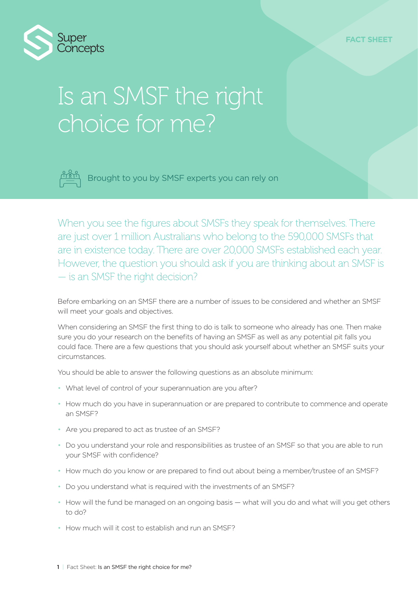

# Is an SMSF the right choice for me?



Brought to you by SMSF experts you can rely on

When you see the figures about SMSFs they speak for themselves. There are just over 1 million Australians who belong to the 590,000 SMSFs that are in existence today. There are over 20,000 SMSFs established each year. However, the question you should ask if you are thinking about an SMSF is — is an SMSF the right decision?

Before embarking on an SMSF there are a number of issues to be considered and whether an SMSF will meet your goals and objectives.

When considering an SMSF the first thing to do is talk to someone who already has one. Then make sure you do your research on the benefits of having an SMSF as well as any potential pit falls you could face. There are a few questions that you should ask yourself about whether an SMSF suits your circumstances.

You should be able to answer the following questions as an absolute minimum:

- What level of control of your superannuation are you after?
- How much do you have in superannuation or are prepared to contribute to commence and operate an SMSF?
- Are you prepared to act as trustee of an SMSF?
- Do you understand your role and responsibilities as trustee of an SMSF so that you are able to run your SMSF with confidence?
- How much do you know or are prepared to find out about being a member/trustee of an SMSF?
- Do you understand what is required with the investments of an SMSF?
- How will the fund be managed on an ongoing basis what will you do and what will you get others to do?
- How much will it cost to establish and run an SMSF?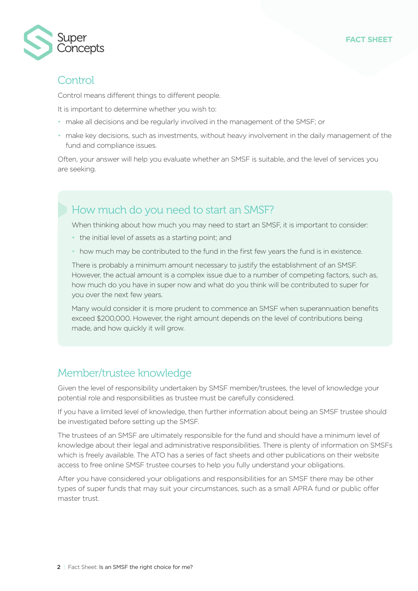



## **Control**

Control means different things to different people.

It is important to determine whether you wish to:

- make all decisions and be regularly involved in the management of the SMSF; or
- make key decisions, such as investments, without heavy involvement in the daily management of the fund and compliance issues.

Often, your answer will help you evaluate whether an SMSF is suitable, and the level of services you are seeking.

# How much do you need to start an SMSF?

When thinking about how much you may need to start an SMSF, it is important to consider:

- the initial level of assets as a starting point; and
- how much may be contributed to the fund in the first few years the fund is in existence.

There is probably a minimum amount necessary to justify the establishment of an SMSF. However, the actual amount is a complex issue due to a number of competing factors, such as, how much do you have in super now and what do you think will be contributed to super for you over the next few years.

Many would consider it is more prudent to commence an SMSF when superannuation benefits exceed \$200,000. However, the right amount depends on the level of contributions being made, and how quickly it will grow.

## Member/trustee knowledge

Given the level of responsibility undertaken by SMSF member/trustees, the level of knowledge your potential role and responsibilities as trustee must be carefully considered.

If you have a limited level of knowledge, then further information about being an SMSF trustee should be investigated before setting up the SMSF.

The trustees of an SMSF are ultimately responsible for the fund and should have a minimum level of knowledge about their legal and administrative responsibilities. There is plenty of information on SMSFs which is freely available. The ATO has a series of fact sheets and other publications on their website access to free online SMSF trustee courses to help you fully understand your obligations.

After you have considered your obligations and responsibilities for an SMSF there may be other types of super funds that may suit your circumstances, such as a small APRA fund or public offer master trust.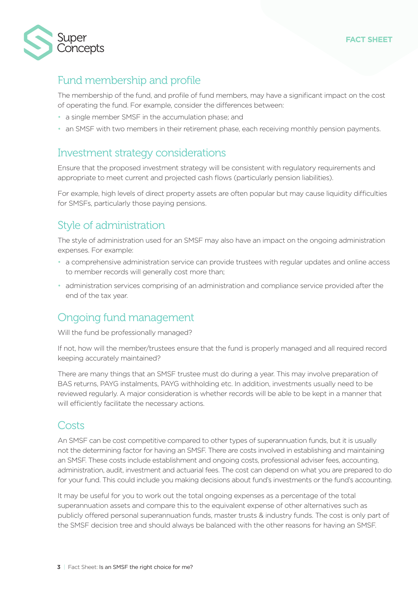



# Fund membership and profile

The membership of the fund, and profile of fund members, may have a significant impact on the cost of operating the fund. For example, consider the differences between:

- a single member SMSF in the accumulation phase; and
- an SMSF with two members in their retirement phase, each receiving monthly pension payments.

## Investment strategy considerations

Ensure that the proposed investment strategy will be consistent with regulatory requirements and appropriate to meet current and projected cash flows (particularly pension liabilities).

For example, high levels of direct property assets are often popular but may cause liquidity difficulties for SMSFs, particularly those paying pensions.

## Style of administration

The style of administration used for an SMSF may also have an impact on the ongoing administration expenses. For example:

- a comprehensive administration service can provide trustees with regular updates and online access to member records will generally cost more than;
- administration services comprising of an administration and compliance service provided after the end of the tax year.

## Ongoing fund management

Will the fund be professionally managed?

If not, how will the member/trustees ensure that the fund is properly managed and all required record keeping accurately maintained?

There are many things that an SMSF trustee must do during a year. This may involve preparation of BAS returns, PAYG instalments, PAYG withholding etc. In addition, investments usually need to be reviewed regularly. A major consideration is whether records will be able to be kept in a manner that will efficiently facilitate the necessary actions.

### Costs

An SMSF can be cost competitive compared to other types of superannuation funds, but it is usually not the determining factor for having an SMSF. There are costs involved in establishing and maintaining an SMSF. These costs include establishment and ongoing costs, professional adviser fees, accounting, administration, audit, investment and actuarial fees. The cost can depend on what you are prepared to do for your fund. This could include you making decisions about fund's investments or the fund's accounting.

It may be useful for you to work out the total ongoing expenses as a percentage of the total superannuation assets and compare this to the equivalent expense of other alternatives such as publicly offered personal superannuation funds, master trusts & industry funds. The cost is only part of the SMSF decision tree and should always be balanced with the other reasons for having an SMSF.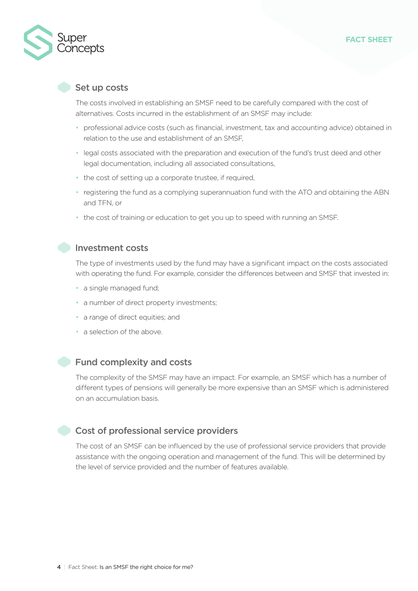

#### Set up costs

The costs involved in establishing an SMSF need to be carefully compared with the cost of alternatives. Costs incurred in the establishment of an SMSF may include:

- professional advice costs (such as financial, investment, tax and accounting advice) obtained in relation to the use and establishment of an SMSF,
- legal costs associated with the preparation and execution of the fund's trust deed and other legal documentation, including all associated consultations,
- the cost of setting up a corporate trustee, if required,
- registering the fund as a complying superannuation fund with the ATO and obtaining the ABN and TFN, or
- the cost of training or education to get you up to speed with running an SMSF.

#### **Investment costs**

The type of investments used by the fund may have a significant impact on the costs associated with operating the fund. For example, consider the differences between and SMSF that invested in:

- a single managed fund;
- a number of direct property investments;
- a range of direct equities; and
- a selection of the above.

#### Fund complexity and costs

The complexity of the SMSF may have an impact. For example, an SMSF which has a number of different types of pensions will generally be more expensive than an SMSF which is administered on an accumulation basis.

#### Cost of professional service providers

The cost of an SMSF can be influenced by the use of professional service providers that provide assistance with the ongoing operation and management of the fund. This will be determined by the level of service provided and the number of features available.